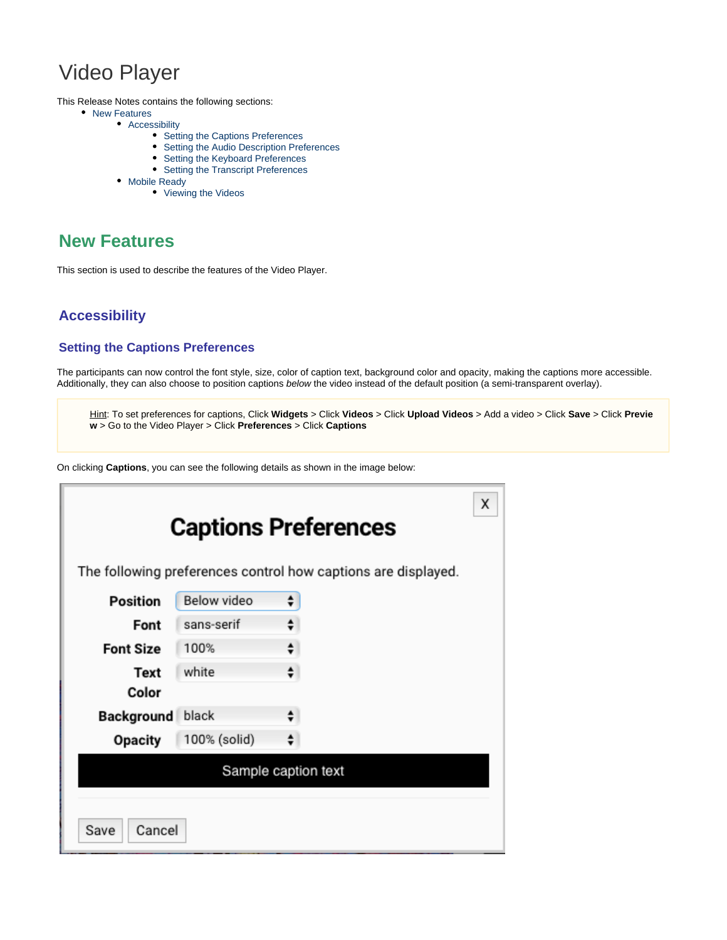# Video Player

This Release Notes contains the following sections:

- New Features
	- [Accessibility](https://bangthetable.jira.com/wiki/display/RN/Video+Player#VideoPlayer-Accessibility) 
		- Setting the Captions Preferences
		- Setting the Audio Description Preferences
		- [Setting the Keyboard Preferences](https://bangthetable.jira.com/wiki/display/RN/Video+Player#VideoPlayer-SettingtheKeyboardPreferences)
		- Setting the Transcript Preferences
		- [Mobile Ready](https://bangthetable.jira.com/wiki/display/RN/Video+Player#VideoPlayer-MobileReady)
			- [Viewing the Videos](https://bangthetable.jira.com/wiki/display/RN/Video+Player#VideoPlayer-ViewingtheVideos)

# **New Features**

This section is used to describe the features of the Video Player.

### **Accessibility**

### **Setting the Captions Preferences**

The participants can now control the font style, size, color of caption text, background color and opacity, making the captions more accessible. Additionally, they can also choose to position captions below the video instead of the default position (a semi-transparent overlay).

Hint: To set preferences for captions, Click **Widgets** > Click **Videos** > Click **Upload Videos** > Add a video > Click **Save** > Click **Previe w** > Go to the Video Player > Click **Preferences** > Click **Captions**

On clicking **Captions**, you can see the following details as shown in the image below:

| Χ<br><b>Captions Preferences</b>                              |              |   |  |  |
|---------------------------------------------------------------|--------------|---|--|--|
| The following preferences control how captions are displayed. |              |   |  |  |
| Position                                                      | Below video  | ÷ |  |  |
| Font                                                          | sans-serif   | ÷ |  |  |
| <b>Font Size</b>                                              | 100%         |   |  |  |
| Text                                                          | white        | ÷ |  |  |
| Color                                                         |              |   |  |  |
| Background                                                    | black        |   |  |  |
| Opacity                                                       | 100% (solid) |   |  |  |
| Sample caption text                                           |              |   |  |  |
| Cancel<br>Save                                                |              |   |  |  |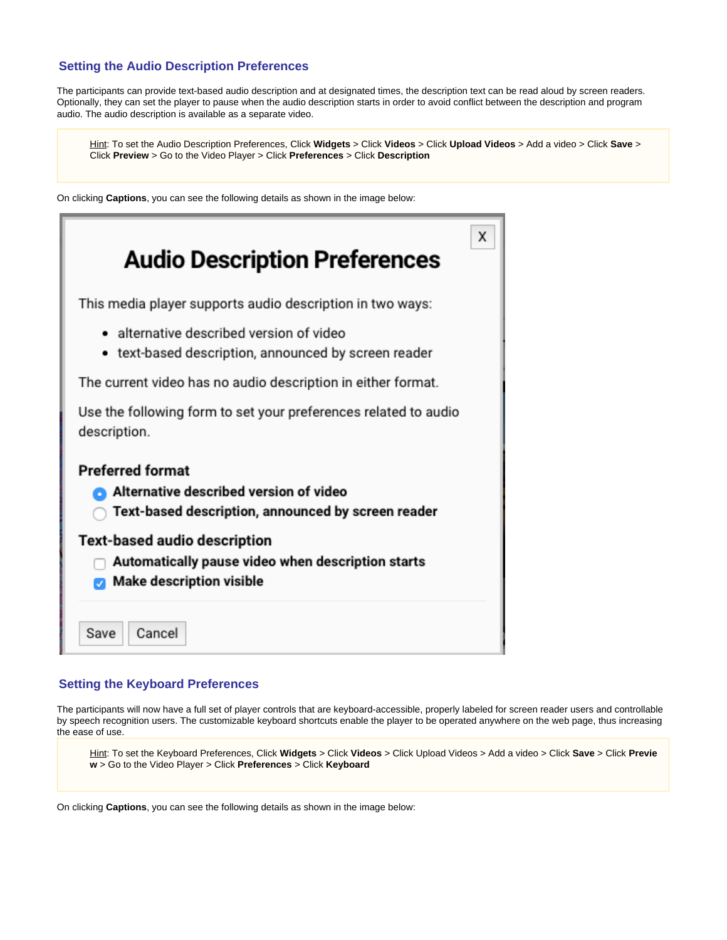### **Setting the Audio Description Preferences**

The participants can provide text-based audio description and at designated times, the description text can be read aloud by screen readers. Optionally, they can set the player to pause when the audio description starts in order to avoid conflict between the description and program audio. The audio description is available as a separate video.

Hint: To set the Audio Description Preferences, Click **Widgets** > Click **Videos** > Click **Upload Videos** > Add a video > Click **Save** > Click **Preview** > Go to the Video Player > Click **Preferences** > Click **Description**

On clicking **Captions**, you can see the following details as shown in the image below:



### **Setting the Keyboard Preferences**

The participants will now have a full set of player controls that are keyboard-accessible, properly labeled for screen reader users and controllable by speech recognition users. The customizable keyboard shortcuts enable the player to be operated anywhere on the web page, thus increasing the ease of use.

Hint: To set the Keyboard Preferences, Click **Widgets** > Click **Videos** > Click Upload Videos > Add a video > Click **Save** > Click **Previe w** > Go to the Video Player > Click **Preferences** > Click **Keyboard**

On clicking **Captions**, you can see the following details as shown in the image below: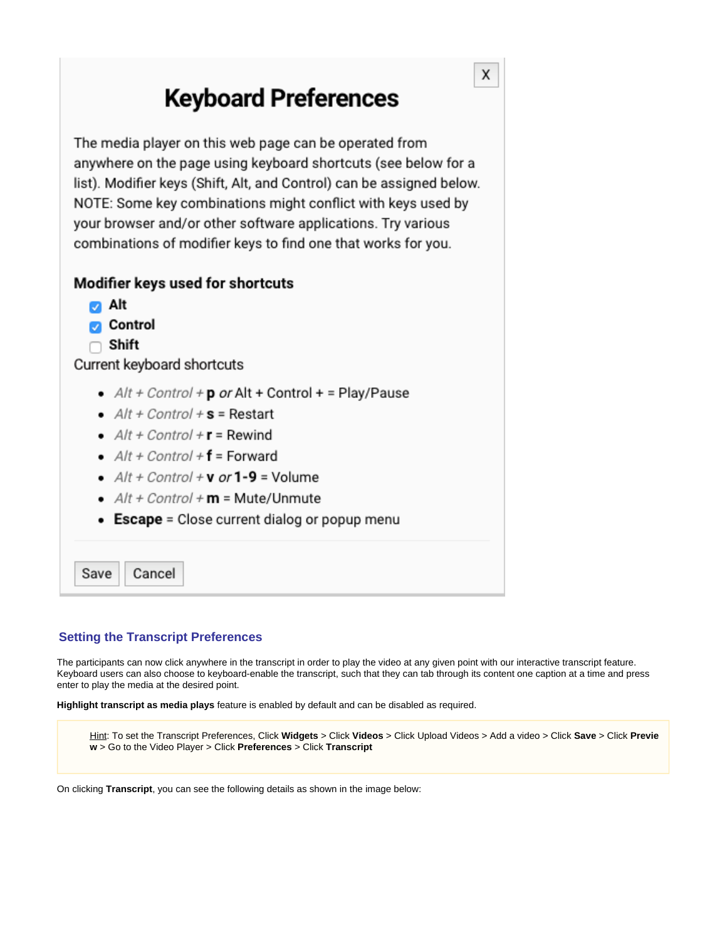# **Keyboard Preferences**

X

The media player on this web page can be operated from anywhere on the page using keyboard shortcuts (see below for a list). Modifier keys (Shift, Alt, and Control) can be assigned below. NOTE: Some key combinations might conflict with keys used by your browser and/or other software applications. Try various combinations of modifier keys to find one that works for you.

### Modifier keys used for shortcuts

- $\blacksquare$  Alt
- **Control**
- $\Box$  Shift

Current keyboard shortcuts

- $Alt + Control + p$  or Alt + Control + = Play/Pause
- $\bullet$  Alt + Control + **s** = Restart
- $\bullet$  Alt + Control + **r** = Rewind
- $\bullet$  Alt + Control + f = Forward
- $\bullet$  Alt + Control + **v** or **1-9** = Volume
- $Alt + Control + m = Mute/Unmute$
- **Escape** = Close current dialog or popup menu

Save Cancel

### **Setting the Transcript Preferences**

The participants can now click anywhere in the transcript in order to play the video at any given point with our interactive transcript feature. Keyboard users can also choose to keyboard-enable the transcript, such that they can tab through its content one caption at a time and press enter to play the media at the desired point.

**Highlight transcript as media plays** feature is enabled by default and can be disabled as required.

Hint: To set the Transcript Preferences, Click **Widgets** > Click **Videos** > Click Upload Videos > Add a video > Click **Save** > Click **Previe w** > Go to the Video Player > Click **Preferences** > Click **Transcript**

On clicking **Transcript**, you can see the following details as shown in the image below: